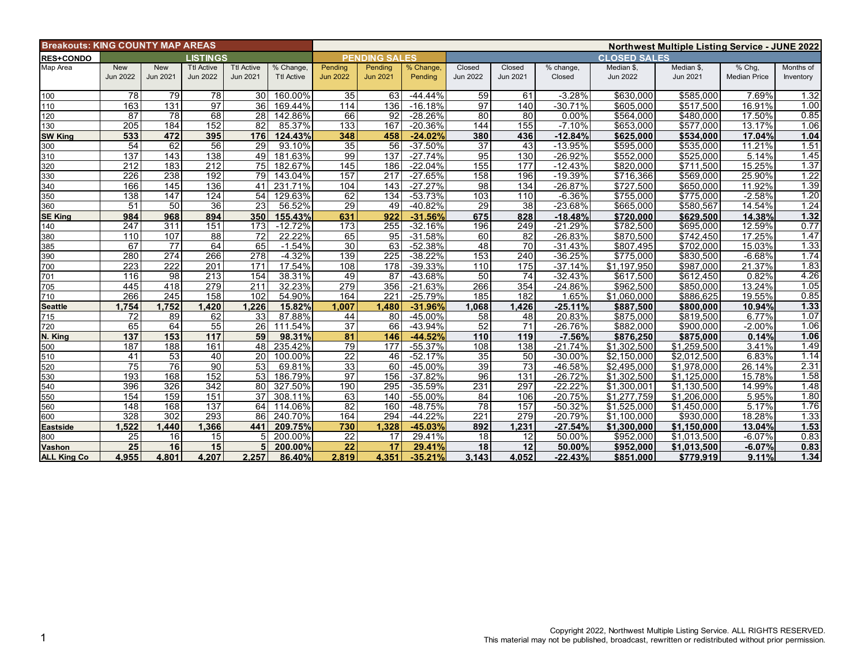|                    | <b>Breakouts: KING COUNTY MAP AREAS</b> |                        |                                      |                                      |                                | <b>Northwest Multiple Listing Service - JUNE 2022</b> |                            |                      |                           |                    |                     |                               |                        |                               |                        |  |
|--------------------|-----------------------------------------|------------------------|--------------------------------------|--------------------------------------|--------------------------------|-------------------------------------------------------|----------------------------|----------------------|---------------------------|--------------------|---------------------|-------------------------------|------------------------|-------------------------------|------------------------|--|
| <b>RES+CONDO</b>   | <b>LISTINGS</b>                         |                        |                                      |                                      |                                | <b>PENDING SALES</b>                                  |                            |                      |                           |                    | <b>CLOSED SALES</b> |                               |                        |                               |                        |  |
| Map Area           | New<br><b>Jun 2022</b>                  | <b>New</b><br>Jun 2021 | <b>Ttl Active</b><br><b>Jun 2022</b> | <b>Ttl Active</b><br><b>Jun 2021</b> | % Change,<br><b>Ttl Active</b> | Pending<br><b>Jun 2022</b>                            | Pending<br><b>Jun 2021</b> | % Change,<br>Pending | Closed<br><b>Jun 2022</b> | Closed<br>Jun 2021 | % change,<br>Closed | Median \$,<br><b>Jun 2022</b> | Median \$,<br>Jun 2021 | % Chg,<br><b>Median Price</b> | Months of<br>Inventory |  |
| 100                | 78                                      | 79                     | 78                                   | 30 <sub>1</sub>                      | 160.00%                        | 35                                                    | 63                         | $-44.44%$            | 59                        | 61                 | $-3.28%$            | \$630,000                     | \$585,000              | 7.69%                         | 1.32                   |  |
| 110                | 163                                     | 131                    | 97                                   | 36                                   | 169.44%                        | 114                                                   | 136                        | $-16.18%$            | 97                        | 140                | $-30.71%$           | \$605,000                     | \$517.500              | 16.91%                        | 1.00                   |  |
| 120                | 87                                      | 78                     | 68                                   | 28                                   | 142.86%                        | 66                                                    | 92                         | $-28.26%$            | 80                        | 80                 | 0.00%               | \$564,000                     | \$480.000              | 17.50%                        | 0.85                   |  |
| 130                | 205                                     | 184                    | 152                                  | 82                                   | 85.37%                         | 133                                                   | 167                        | $-20.36%$            | 144                       | 155                | $-7.10%$            | \$653,000                     | \$577,000              | 13.17%                        | 1.06                   |  |
| <b>SW King</b>     | 533                                     | 472                    | 395                                  | 176                                  | 124.43%                        | 348                                                   | 458                        | $-24.02%$            | 380                       | 436                | $-12.84%$           | \$625,000                     | \$534,000              | 17.04%                        | 1.04                   |  |
| 300                | 54                                      | 62                     | 56                                   | 29                                   | 93.10%                         | 35                                                    | 56                         | $-37.50%$            | 37                        | 43                 | $-13.95%$           | \$595,000                     | \$535,000              | 11.21%                        | 1.51                   |  |
| 310                | 137                                     | 143                    | 138                                  | 49                                   | 181.63%                        | 99                                                    | 137                        | $-27.74%$            | 95                        | 130                | $-26.92%$           | \$552,000                     | \$525,000              | 5.14%                         | 1.45                   |  |
| 320                | 212                                     | 183                    | 212                                  | 75                                   | 182.67%                        | 145                                                   | 186                        | $-22.04%$            | 155                       | 177                | $-12.43%$           | \$820,000                     | \$711,500              | 15.25%                        | 1.37                   |  |
| 330                | 226                                     | 238                    | 192                                  | 79                                   | 143.04%                        | 157                                                   | 217                        | $-27.65%$            | 158                       | 196                | $-19.39%$           | \$716,366                     | \$569,000              | 25.90%                        | 1.22                   |  |
| 340                | 166                                     | 145                    | 136                                  | 41                                   | 231.71%                        | 104                                                   | 143                        | $-27.27%$            | 98                        | 134                | $-26.87%$           | \$727,500                     | \$650.000              | 11.92%                        | 1.39                   |  |
| 350                | 138                                     | 147                    | 124                                  | 54                                   | 129.63%                        | 62                                                    | 134                        | $-53.73%$            | 103                       | 110                | $-6.36%$            | \$755.000                     | \$775.000              | $-2.58%$                      | 1.20                   |  |
| 360                | 51                                      | 50                     | 36                                   | 23                                   | 56.52%                         | 29                                                    | 49                         | $-40.82%$            | 29                        | 38                 | $-23.68%$           | \$665,000                     | \$580,567              | 14.54%                        | 1.24                   |  |
| <b>SE King</b>     | 984                                     | 968                    | 894                                  | 350                                  | 155.43%                        | 631                                                   | 922                        | $-31.56%$            | 675                       | 828                | $-18.48%$           | \$720,000                     | \$629,500              | 14.38%                        | 1.32                   |  |
| 140                | 247                                     | 311                    | 151                                  | 173                                  | $-12.72%$                      | 173                                                   | 255                        | $-32.16%$            | 196                       | 249                | $-21.29%$           | \$782,500                     | \$695,000              | 12.59%                        | 0.77                   |  |
| 380                | 110                                     | 107                    | $\overline{88}$                      | $\overline{72}$                      | 22.22%                         | 65                                                    | $\overline{95}$            | $-31.58%$            | 60                        | $\overline{82}$    | $-26.83%$           | \$870,500                     | \$742,450              | 17.25%                        | 1.47                   |  |
| 385                | 67                                      | $\overline{77}$        | 64                                   | 65                                   | $-1.54%$                       | 30                                                    | 63                         | $-52.38%$            | 48                        | 70                 | $-31.43%$           | \$807,495                     | \$702,000              | 15.03%                        | 1.33                   |  |
| 390                | 280                                     | $\overline{274}$       | 266                                  | $\overline{278}$                     | $-4.32%$                       | 139                                                   | $\overline{225}$           | $-38.22%$            | 153                       | 240                | $-36.25%$           | \$775,000                     | \$830.500              | $-6.68%$                      | 1.74                   |  |
| 700                | 223                                     | 222                    | 201                                  | 171                                  | 17.54%                         | 108                                                   | 178                        | $-39.33%$            | 110                       | 175                | $-37.14%$           | \$1,197,950                   | \$987,000              | 21.37%                        | 1.83                   |  |
| 701                | 116                                     | 98                     | 213                                  | 154                                  | 38.31%                         | 49                                                    | 87                         | -43.68%              | 50                        | 74                 | $-32.43%$           | \$617,500                     | \$612,450              | 0.82%                         | 4.26                   |  |
| 705                | 445                                     | 418                    | 279                                  | 211                                  | 32.23%                         | 279                                                   | 356                        | $-21.63%$            | 266                       | 354                | $-24.86%$           | \$962,500                     | \$850,000              | 13.24%                        | 1.05                   |  |
| 710                | 266                                     | 245                    | 158                                  | 102                                  | 54.90%                         | 164                                                   | 221                        | $-25.79%$            | 185                       | 182                | 1.65%               | \$1,060,000                   | \$886,625              | 19.55%                        | 0.85                   |  |
| <b>Seattle</b>     | 1.754                                   | 1.752                  | 1,420                                | 1.226                                | 15.82%                         | 1.007                                                 | 1.480                      | $-31.96%$            | 1,068                     | 1,426              | $-25.11%$           | \$887,500                     | \$800,000              | 10.94%                        | 1.33                   |  |
| 715                | 72                                      | 89                     | 62                                   | 33                                   | 87.88%                         | 44                                                    | 80                         | $-45.00\%$           | 58                        | $\overline{48}$    | 20.83%              | \$875,000                     | \$819.500              | 6.77%                         | 1.07                   |  |
| 720                | 65                                      | 64                     | 55                                   | 26 <sup>1</sup>                      | 111.54%                        | 37                                                    | 66                         | $-43.94%$            | 52                        | 71                 | $-26.76%$           | \$882.000                     | \$900.000              | $-2.00%$                      | 1.06                   |  |
| N. King            | 137                                     | 153                    | 117                                  | 59                                   | 98.31%                         | 81                                                    | 146                        | $-44.52%$            | 110                       | 119                | $-7.56%$            | \$876,250                     | \$875,000              | 0.14%                         | 1.06                   |  |
| 500                | 187                                     | 188                    | 161                                  | 48                                   | 235.42%                        | 79                                                    | 177                        | $-55.37%$            | 108                       | 138                | $-21.74%$           | \$1,302,500                   | \$1,259,500            | 3.41%                         | 1.49                   |  |
| 510                | 41                                      | 53                     | 40                                   | 20 <sub>1</sub>                      | 100.00%                        | $\overline{22}$                                       | 46                         | $-52.17%$            | 35                        | 50                 | -30.00%             | \$2,150,000                   | \$2,012,500            | 6.83%                         | 1.14                   |  |
| 520                | $\overline{75}$                         | 76                     | $\overline{90}$                      | 53                                   | 69.81%                         | 33                                                    | 60                         | $-45.00%$            | 39                        | $\overline{73}$    | -46.58%             | \$2.495.000                   | \$1.978.000            | 26.14%                        | 2.31                   |  |
| 530                | 193                                     | 168                    | 152                                  | 53                                   | 186.79%                        | $\overline{97}$                                       | 156                        | $-37.82%$            | 96                        | 131                | $-26.72%$           | \$1,302,500                   | \$1,125,000            | 15.78%                        | 1.58                   |  |
| 540                | 396                                     | 326                    | 342                                  | 80                                   | 327.50%                        | 190                                                   | 295                        | $-35.59%$            | 231                       | 297                | $-22.22%$           | \$1.300.001                   | \$1.130.500            | 14.99%                        | 1.48                   |  |
| 550                | 154                                     | 159                    | 151                                  | 37                                   | 308.11%                        | 63                                                    | 140                        | -55.00%              | 84                        | 106                | $-20.75%$           | \$1,277,759                   | \$1,206,000            | 5.95%                         | 1.80                   |  |
| 560                | 148                                     | 168                    | 137                                  | 64                                   | 114.06%                        | $\overline{82}$                                       | 160                        | $-48.75%$            | $\overline{78}$           | 157                | $-50.32%$           | \$1,525,000                   | \$1,450,000            | 5.17%                         | 1.76                   |  |
| 600                | 328                                     | 302                    | 293                                  | 86                                   | 240.70%                        | 164                                                   | 294                        | $-44.22%$            | 221                       | 279                | $-20.79%$           | \$1,100,000                   | \$930,000              | 18.28%                        | 1.33                   |  |
| <b>Eastside</b>    | 1.522                                   | 1.440                  | 1,366                                | 441                                  | 209.75%                        | 730                                                   | 1.328                      | $-45.03%$            | 892                       | 1,231              | $-27.54%$           | \$1,300,000                   | \$1.150.000            | 13.04%                        | 1.53                   |  |
| 800                | 25                                      | 16                     | 15                                   | 5 <sub>l</sub>                       | 200.00%                        | 22                                                    | 17                         | 29.41%               | 18                        | 12                 | 50.00%              | \$952,000                     | \$1,013,500            | $-6.07%$                      | 0.83                   |  |
| Vashon             | 25                                      | 16                     | 15                                   | 5                                    | 200.00%                        | 22                                                    | 17                         | 29.41%               | 18                        | 12                 | 50.00%              | \$952,000                     | \$1,013,500            | $-6.07%$                      | 0.83                   |  |
| <b>ALL King Co</b> | 4.955                                   | 4.801                  | 4.207                                | 2.257                                | 86.40%                         | 2.819                                                 | 4.351                      | $-35.21%$            | 3.143                     | 4.052              | $-22.43%$           | \$851,000                     | \$779,919              | 9.11%                         | 1.34                   |  |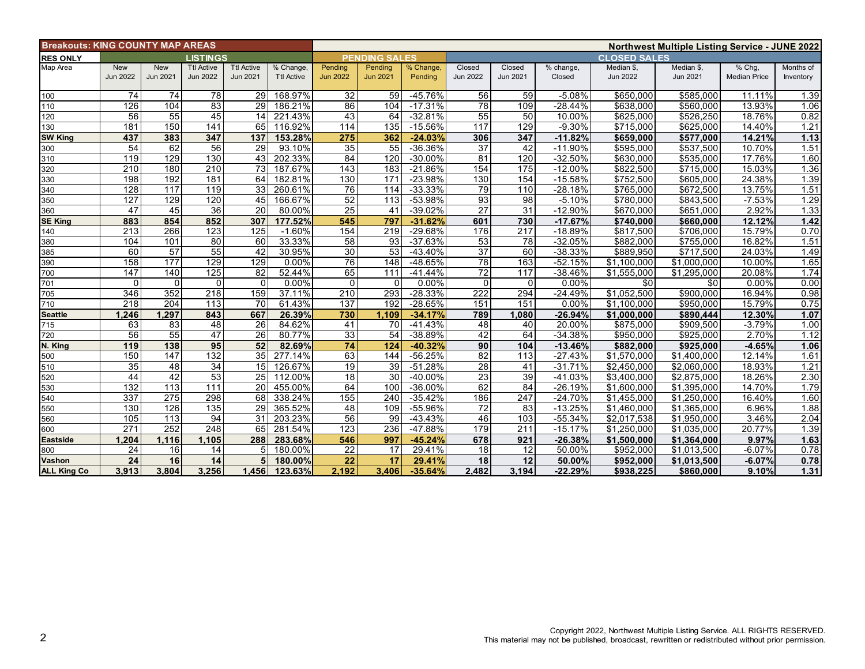| <b>Breakouts: KING COUNTY MAP AREAS</b> |                               |                        |                                      |                                      |                                | <b>Northwest Multiple Listing Service - JUNE 2022</b> |                            |                      |                           |                    |                        |                               |                        |                               |                        |  |
|-----------------------------------------|-------------------------------|------------------------|--------------------------------------|--------------------------------------|--------------------------------|-------------------------------------------------------|----------------------------|----------------------|---------------------------|--------------------|------------------------|-------------------------------|------------------------|-------------------------------|------------------------|--|
| <b>RES ONLY</b>                         | LISTINGS                      |                        |                                      |                                      |                                | <b>PENDING SALES</b>                                  |                            |                      |                           |                    | <b>CLOSED SALES</b>    |                               |                        |                               |                        |  |
| Map Area                                | <b>New</b><br><b>Jun 2022</b> | <b>New</b><br>Jun 2021 | <b>Ttl Active</b><br><b>Jun 2022</b> | <b>Ttl Active</b><br><b>Jun 2021</b> | % Change,<br><b>Ttl Active</b> | Pending<br><b>Jun 2022</b>                            | Pending<br><b>Jun 2021</b> | % Change,<br>Pending | Closed<br><b>Jun 2022</b> | Closed<br>Jun 2021 | % change,<br>Closed    | Median \$,<br><b>Jun 2022</b> | Median \$,<br>Jun 2021 | % Chg,<br><b>Median Price</b> | Months of<br>Inventory |  |
|                                         |                               |                        |                                      |                                      |                                |                                                       |                            |                      |                           |                    |                        |                               |                        |                               |                        |  |
| 100                                     | 74                            | 74                     | 78                                   | 29                                   | 168.97%                        | 32                                                    | 59                         | $-45.76%$            | 56                        | 59                 | $-5.08%$               | \$650,000                     | \$585,000              | 11.11%                        | 1.39                   |  |
| 110                                     | 126                           | 104                    | 83                                   | $\overline{29}$                      | 186.21%                        | 86                                                    | 104                        | $-17.31%$            | 78                        | 109                | $-28.44%$              | \$638,000                     | \$560,000              | 13.93%                        | 1.06                   |  |
| 120                                     | 56                            | 55                     | 45                                   | 14                                   | 221.43%                        | 43                                                    | 64                         | $-32.81%$            | 55                        | 50                 | 10.00%                 | \$625,000                     | \$526,250              | 18.76%                        | 0.82                   |  |
| 130                                     | 181                           | 150                    | 141                                  | 65                                   | 116.92%                        | 114                                                   | 135                        | $-15.56%$            | 117                       | 129                | $-9.30%$               | \$715,000                     | \$625,000              | 14.40%                        | 1.21                   |  |
| <b>SW King</b>                          | 437                           | 383                    | 347                                  | 137<br>29                            | 153.28%                        | 275                                                   | 362                        | $-24.03%$            | 306                       | 347                | $-11.82%$              | \$659,000                     | \$577,000              | 14.21%                        | 1.13                   |  |
| 300                                     | 54                            | 62                     | 56                                   |                                      | 93.10%                         | 35                                                    | 55                         | -36.36%              | 37                        | 42                 | $-11.90%$              | \$595,000                     | \$537,500              | 10.70%                        | 1.51<br>1.60           |  |
| 310                                     | 119<br>$\overline{210}$       | 129<br>180             | 130<br>$\overline{210}$              | 43<br>73                             | 202.33%                        | 84<br>143                                             | 120<br>183                 | $-30.00%$            | 81<br>154                 | 120<br>175         | $-32.50%$<br>$-12.00%$ | \$630,000<br>\$822,500        | \$535,000              | 17.76%                        | 1.36                   |  |
| 320<br>330                              | 198                           | 192                    | 181                                  | 64                                   | 187.67%<br>182.81%             | 130                                                   | 171                        | $-21.86%$<br>-23.98% | 130                       | 154                | $-15.58%$              | \$752,500                     | \$715,000<br>\$605,000 | 15.03%<br>24.38%              | 1.39                   |  |
|                                         | 128                           | 117                    | 119                                  | 33 <sup>1</sup>                      | 260.61%                        | 76                                                    | 114                        | $-33.33%$            | 79                        | 110                | $-28.18%$              | \$765,000                     | \$672,500              | 13.75%                        | 1.51                   |  |
| 340<br>350                              | 127                           | 129                    | 120                                  | 45                                   | 166.67%                        | 52                                                    | 113                        | -53.98%              | 93                        | 98                 | $-5.10%$               | \$780,000                     | \$843,500              | $-7.53%$                      | 1.29                   |  |
| 360                                     | 47                            | 45                     | 36                                   | $\overline{20}$                      | 80.00%                         | $\overline{25}$                                       | 41                         | $-39.02%$            | $\overline{27}$           | $\overline{31}$    | $-12.90%$              | \$670,000                     | \$651,000              | 2.92%                         | 1.33                   |  |
| <b>SE King</b>                          | 883                           | 854                    | 852                                  | 307                                  | 177.52%                        | 545                                                   | 797                        | $-31.62%$            | 601                       | 730                | $-17.67%$              | \$740,000                     | \$660,000              | 12.12%                        | $1.42$                 |  |
| 140                                     | 213                           | 266                    | 123                                  | $\overline{125}$                     | $-1.60%$                       | 154                                                   | 219                        | $-29.68%$            | 176                       | $\overline{217}$   | $-18.89%$              | \$817,500                     | \$706,000              | 15.79%                        | 0.70                   |  |
| 380                                     | 104                           | 101                    | 80                                   | 60                                   | 33.33%                         | 58                                                    | 93                         | $-37.63%$            | 53                        | $\overline{78}$    | $-32.05%$              | \$882,000                     | \$755,000              | 16.82%                        | 1.51                   |  |
| 385                                     | 60                            | 57                     | 55                                   | 42                                   | 30.95%                         | 30                                                    | 53                         | $-43.40%$            | 37                        | 60                 | $-38.33%$              | \$889,950                     | \$717,500              | 24.03%                        | 1.49                   |  |
| 390                                     | 158                           | $\overline{177}$       | 129                                  | 129                                  | 0.00%                          | 76                                                    | 148                        | -48.65%              | 78                        | 163                | $-52.15%$              | \$1,100,000                   | \$1,000,000            | 10.00%                        | 1.65                   |  |
| 700                                     | 147                           | 140                    | 125                                  | 82                                   | 52.44%                         | 65                                                    | 111                        | $-41.44%$            | 72                        | 117                | $-38.46%$              | \$1,555,000                   | \$1,295,000            | 20.08%                        | 1.74                   |  |
| 701                                     | $\Omega$                      | $\Omega$               | $\Omega$                             | $\Omega$                             | 0.00%                          | $\Omega$                                              | $\mathbf{0}$               | $0.00\%$             | $\Omega$                  | $\Omega$           | 0.00%                  | \$0                           | \$0                    | 0.00%                         | 0.00                   |  |
| 705                                     | 346                           | 352                    | 218                                  | 159                                  | 37.11%                         | 210                                                   | 293                        | $-28.33%$            | 222                       | 294                | $-24.49%$              | \$1.052.500                   | \$900.000              | 16.94%                        | 0.98                   |  |
| 710                                     | 218                           | 204                    | 113                                  | 70                                   | 61.43%                         | 137                                                   | 192                        | $-28.65%$            | 151                       | 151                | 0.00%                  | \$1,100,000                   | $\overline{$950,000}$  | 15.79%                        | 0.75                   |  |
| <b>Seattle</b>                          | 1,246                         | 1,297                  | 843                                  | 667                                  | 26.39%                         | 730                                                   | 1,109                      | $-34.17%$            | 789                       | 1,080              | $-26.94%$              | \$1,000,000                   | \$890,444              | 12.30%                        | 1.07                   |  |
| 715                                     | 63                            | 83                     | 48                                   | 26                                   | 84.62%                         | 41                                                    | 70                         | $-41.43%$            | 48                        | 40                 | 20.00%                 | \$875,000                     | \$909,500              | $-3.79%$                      | 1.00                   |  |
| 720                                     | 56                            | 55                     | 47                                   | 26                                   | 80.77%                         | 33                                                    | $\overline{54}$            | -38.89%              | 42                        | 64                 | $-34.38%$              | \$950,000                     | \$925,000              | 2.70%                         | 1.12                   |  |
| N. King                                 | 119                           | 138                    | 95                                   | 52                                   | 82.69%                         | 74                                                    | 124                        | $-40.32%$            | 90                        | 104                | $-13.46%$              | \$882.000                     | \$925.000              | $-4.65%$                      | 1.06                   |  |
| 500                                     | 150                           | 147                    | 132                                  | 35 <sub>1</sub>                      | 277.14%                        | 63                                                    | 144                        | $-56.25%$            | 82                        | 113                | $-27.43%$              | \$1,570,000                   | \$1,400,000            | 12.14%                        | 1.61                   |  |
| 510                                     | 35                            | 48                     | 34                                   | 15 <sup>1</sup>                      | 126.67%                        | $\overline{19}$                                       | 39                         | $-51.28%$            | 28                        | 41                 | $-31.71%$              | \$2.450.000                   | \$2,060,000            | 18.93%                        | 1.21                   |  |
| 520                                     | 44                            | 42                     | 53                                   | 25 <sup>1</sup>                      | 112.00%                        | 18                                                    | 30                         | $-40.00\%$           | 23                        | 39                 | $-41.03%$              | \$3,400,000                   | \$2,875,000            | 18.26%                        | 2.30                   |  |
| 530                                     | 132                           | 113                    | 111                                  | 20 <sup>1</sup>                      | 455.00%                        | 64                                                    | 100                        | $-36.00%$            | 62                        | 84                 | $-26.19%$              | \$1,600,000                   | \$1,395,000            | 14.70%                        | 1.79                   |  |
| 540                                     | 337                           | 275                    | 298                                  | 68                                   | 338.24%                        | 155                                                   | 240                        | $-35.42%$            | 186                       | 247                | $-24.70%$              | \$1,455,000                   | \$1,250,000            | 16.40%                        | 1.60                   |  |
| 550                                     | 130                           | 126                    | $\overline{135}$                     | 29                                   | 365.52%                        | 48                                                    | 109                        | $-55.96%$            | $\overline{72}$           | 83                 | $-13.25%$              | \$1,460,000                   | \$1,365,000            | 6.96%                         | 1.88                   |  |
| 560                                     | 105                           | 113                    | 94                                   | 31                                   | 203.23%                        | 56                                                    | 99                         | $-43.43%$            | 46                        | 103                | $-55.34%$              | \$2.017.538                   | \$1,950,000            | 3.46%                         | 2.04                   |  |
| 600                                     | 271                           | 252                    | 248                                  | 65                                   | 281.54%                        | 123                                                   | 236                        | -47.88%              | 179                       | 211                | $-15.17%$              | \$1,250,000                   | \$1,035,000            | 20.77%                        | 1.39                   |  |
| <b>Eastside</b>                         | 1.204                         | 1.116                  | 1.105                                | 288                                  | 283.68%                        | 546                                                   | 997                        | $-45.24%$            | 678                       | 921                | $-26.38%$              | \$1,500,000                   | \$1,364,000            | 9.97%                         | 1.63                   |  |
| 800                                     | 24                            | 16                     | 14                                   | 5                                    | 180.00%                        | 22                                                    | 17                         | 29.41%               | 18                        | 12                 | 50.00%                 | \$952,000                     | \$1,013,500            | $-6.07%$                      | 0.78                   |  |
| Vashon                                  | 24                            | 16                     | 14                                   | 5 <sub>1</sub>                       | 180.00%                        | $\overline{22}$                                       | 17                         | 29.41%               | 18                        | $\overline{12}$    | 50.00%                 | \$952.000                     | \$1,013,500            | $-6.07%$                      | 0.78                   |  |
| <b>ALL King Co</b>                      | 3.913                         | 3.804                  | 3.256                                | 1.456                                | 123.63%                        | 2.192                                                 | 3.406                      | $-35.64%$            | 2.482                     | 3.194              | $-22.29%$              | \$938,225                     | \$860,000              | 9.10%                         | 1.31                   |  |